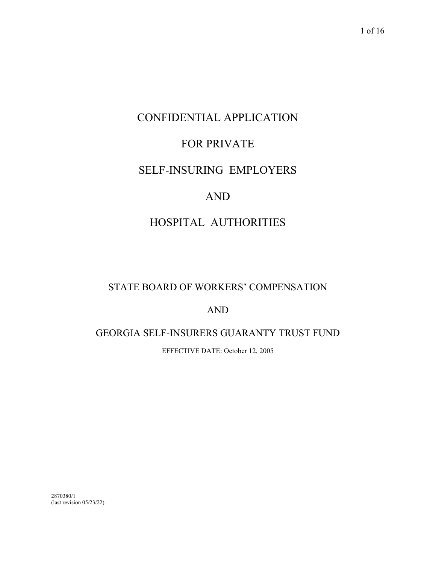# CONFIDENTIAL APPLICATION

## FOR PRIVATE

## SELF-INSURING EMPLOYERS

### AND

## HOSPITAL AUTHORITIES

### STATE BOARD OF WORKERS' COMPENSATION

### AND

### GEORGIA SELF-INSURERS GUARANTY TRUST FUND

EFFECTIVE DATE: October 12, 2005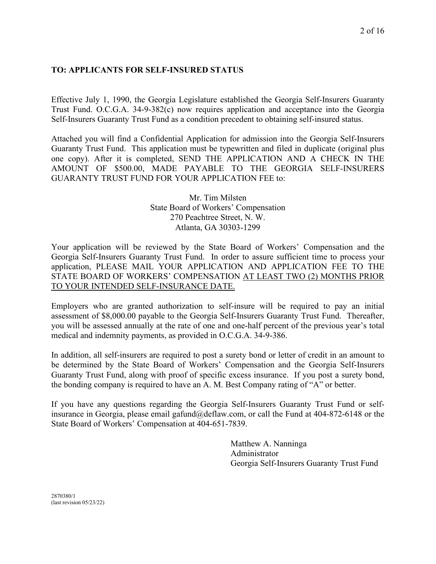### **TO: APPLICANTS FOR SELF-INSURED STATUS**

Effective July 1, 1990, the Georgia Legislature established the Georgia Self-Insurers Guaranty Trust Fund. O.C.G.A. 34-9-382(c) now requires application and acceptance into the Georgia Self-Insurers Guaranty Trust Fund as a condition precedent to obtaining self-insured status.

Attached you will find a Confidential Application for admission into the Georgia Self-Insurers Guaranty Trust Fund. This application must be typewritten and filed in duplicate (original plus one copy). After it is completed, SEND THE APPLICATION AND A CHECK IN THE AMOUNT OF \$500.00, MADE PAYABLE TO THE GEORGIA SELF-INSURERS GUARANTY TRUST FUND FOR YOUR APPLICATION FEE to:

> Mr. Tim Milsten State Board of Workers' Compensation 270 Peachtree Street, N. W. Atlanta, GA 30303-1299

Your application will be reviewed by the State Board of Workers' Compensation and the Georgia Self-Insurers Guaranty Trust Fund. In order to assure sufficient time to process your application, PLEASE MAIL YOUR APPLICATION AND APPLICATION FEE TO THE STATE BOARD OF WORKERS' COMPENSATION AT LEAST TWO (2) MONTHS PRIOR TO YOUR INTENDED SELF-INSURANCE DATE.

Employers who are granted authorization to self-insure will be required to pay an initial assessment of \$8,000.00 payable to the Georgia Self-Insurers Guaranty Trust Fund. Thereafter, you will be assessed annually at the rate of one and one-half percent of the previous year's total medical and indemnity payments, as provided in O.C.G.A. 34-9-386.

In addition, all self-insurers are required to post a surety bond or letter of credit in an amount to be determined by the State Board of Workers' Compensation and the Georgia Self-Insurers Guaranty Trust Fund, along with proof of specific excess insurance. If you post a surety bond, the bonding company is required to have an A. M. Best Company rating of "A" or better.

If you have any questions regarding the Georgia Self-Insurers Guaranty Trust Fund or selfinsurance in Georgia, please email gafund@deflaw.com, or call the Fund at 404-872-6148 or the State Board of Workers' Compensation at 404-651-7839.

> Matthew A. Nanninga Administrator Georgia Self-Insurers Guaranty Trust Fund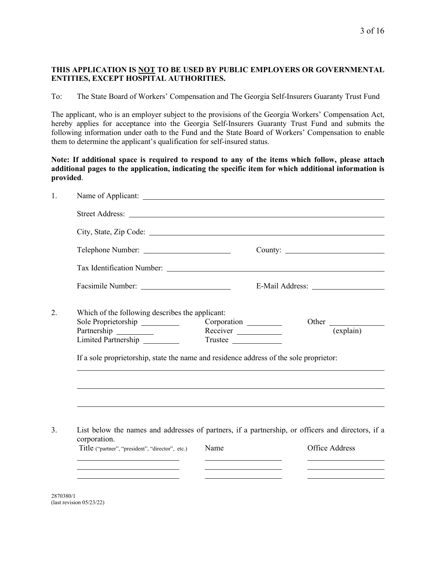#### **THIS APPLICATION IS NOT TO BE USED BY PUBLIC EMPLOYERS OR GOVERNMENTAL ENTITIES, EXCEPT HOSPITAL AUTHORITIES.**

To: The State Board of Workers' Compensation and The Georgia Self-Insurers Guaranty Trust Fund

The applicant, who is an employer subject to the provisions of the Georgia Workers' Compensation Act, hereby applies for acceptance into the Georgia Self-Insurers Guaranty Trust Fund and submits the following information under oath to the Fund and the State Board of Workers' Compensation to enable them to determine the applicant's qualification for self-insured status.

**Note: If additional space is required to respond to any of the items which follow, please attach additional pages to the application, indicating the specific item for which additional information is provided**.

|                                                                                                                | $\overline{\text{(explain)}}$                                                                                                                                                                                                                                                                               |
|----------------------------------------------------------------------------------------------------------------|-------------------------------------------------------------------------------------------------------------------------------------------------------------------------------------------------------------------------------------------------------------------------------------------------------------|
|                                                                                                                |                                                                                                                                                                                                                                                                                                             |
|                                                                                                                |                                                                                                                                                                                                                                                                                                             |
|                                                                                                                |                                                                                                                                                                                                                                                                                                             |
| Name                                                                                                           | Office Address                                                                                                                                                                                                                                                                                              |
| Sole Proprietorship<br>Limited Partnership<br>corporation.<br>Title ("partner", "president", "director", etc.) | Which of the following describes the applicant:<br>Corporation ________<br>Receiver _____________<br>Trustee<br>If a sole proprietorship, state the name and residence address of the sole proprietor:<br>List below the names and addresses of partners, if a partnership, or officers and directors, if a |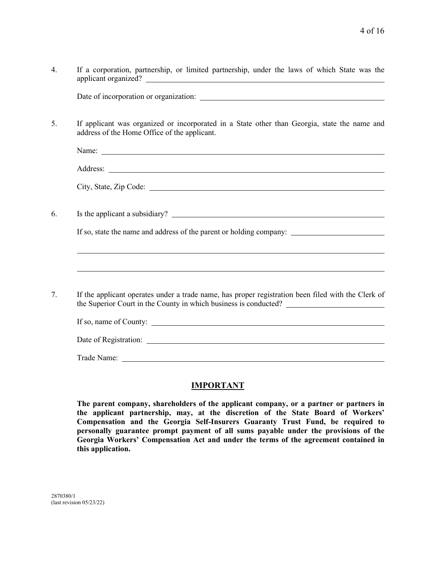| $\overline{4}$ . | If a corporation, partnership, or limited partnership, under the laws of which State was the                                                 |
|------------------|----------------------------------------------------------------------------------------------------------------------------------------------|
|                  |                                                                                                                                              |
| 5.               | If applicant was organized or incorporated in a State other than Georgia, state the name and<br>address of the Home Office of the applicant. |
|                  |                                                                                                                                              |
|                  |                                                                                                                                              |
|                  |                                                                                                                                              |
| 6.               |                                                                                                                                              |
|                  |                                                                                                                                              |
|                  |                                                                                                                                              |
| 7.               | If the applicant operates under a trade name, has proper registration been filed with the Clerk of                                           |
|                  |                                                                                                                                              |
|                  | Date of Registration:                                                                                                                        |
|                  |                                                                                                                                              |

#### **IMPORTANT**

**The parent company, shareholders of the applicant company, or a partner or partners in the applicant partnership, may, at the discretion of the State Board of Workers' Compensation and the Georgia Self-Insurers Guaranty Trust Fund, be required to personally guarantee prompt payment of all sums payable under the provisions of the Georgia Workers' Compensation Act and under the terms of the agreement contained in this application.**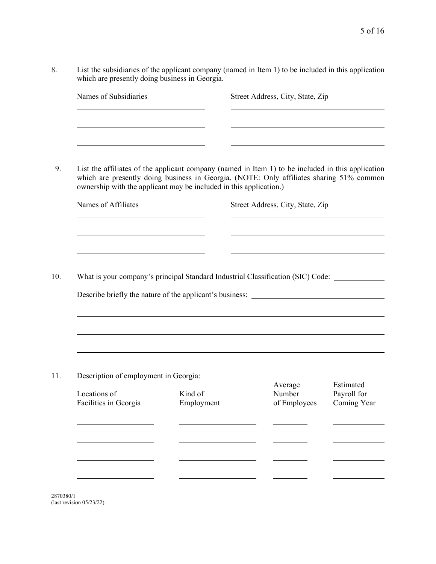8. List the subsidiaries of the applicant company (named in Item 1) to be included in this application which are presently doing business in Georgia.

| Names of Subsidiaries                                                                                                                                                                                                                                               |                       | Street Address, City, State, Zip  |                            |
|---------------------------------------------------------------------------------------------------------------------------------------------------------------------------------------------------------------------------------------------------------------------|-----------------------|-----------------------------------|----------------------------|
|                                                                                                                                                                                                                                                                     |                       |                                   |                            |
| List the affiliates of the applicant company (named in Item 1) to be included in this application<br>which are presently doing business in Georgia. (NOTE: Only affiliates sharing 51% common<br>ownership with the applicant may be included in this application.) |                       |                                   |                            |
| Names of Affiliates                                                                                                                                                                                                                                                 |                       | Street Address, City, State, Zip  |                            |
|                                                                                                                                                                                                                                                                     |                       |                                   |                            |
| What is your company's principal Standard Industrial Classification (SIC) Code:                                                                                                                                                                                     |                       |                                   |                            |
| Describe briefly the nature of the applicant's business:                                                                                                                                                                                                            |                       |                                   |                            |
|                                                                                                                                                                                                                                                                     |                       |                                   |                            |
|                                                                                                                                                                                                                                                                     |                       |                                   |                            |
|                                                                                                                                                                                                                                                                     |                       |                                   |                            |
| Description of employment in Georgia:                                                                                                                                                                                                                               |                       |                                   | Estimated                  |
|                                                                                                                                                                                                                                                                     |                       |                                   |                            |
| Locations of<br>Facilities in Georgia                                                                                                                                                                                                                               | Kind of<br>Employment | Average<br>Number<br>of Employees |                            |
|                                                                                                                                                                                                                                                                     |                       |                                   | Payroll for<br>Coming Year |
|                                                                                                                                                                                                                                                                     |                       |                                   |                            |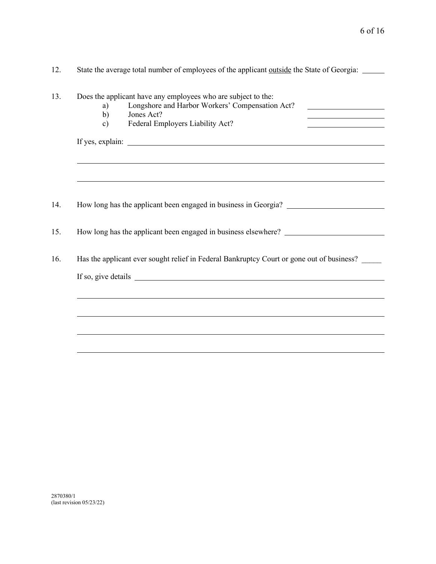| 12. | State the average total number of employees of the applicant outside the State of Georgia:                                                                                                                                          |  |  |  |  |
|-----|-------------------------------------------------------------------------------------------------------------------------------------------------------------------------------------------------------------------------------------|--|--|--|--|
| 13. | Does the applicant have any employees who are subject to the:<br>Longshore and Harbor Workers' Compensation Act?<br>a)<br>Jones Act?<br>b)<br>Federal Employers Liability Act?<br>$\mathbf{c}$                                      |  |  |  |  |
|     |                                                                                                                                                                                                                                     |  |  |  |  |
|     |                                                                                                                                                                                                                                     |  |  |  |  |
| 14. | How long has the applicant been engaged in business in Georgia?                                                                                                                                                                     |  |  |  |  |
| 15. | How long has the applicant been engaged in business elsewhere? __________________                                                                                                                                                   |  |  |  |  |
| 16. | Has the applicant ever sought relief in Federal Bankruptcy Court or gone out of business?                                                                                                                                           |  |  |  |  |
|     | If so, give details <b>Example 20</b> Second 20 and 20 Second 20 and 20 and 20 and 20 and 20 and 20 and 20 and 20 and 20 and 20 and 20 and 20 and 20 and 20 and 20 and 20 and 20 and 20 and 20 and 20 and 20 and 20 and 20 and 20 a |  |  |  |  |
|     |                                                                                                                                                                                                                                     |  |  |  |  |
|     |                                                                                                                                                                                                                                     |  |  |  |  |
|     |                                                                                                                                                                                                                                     |  |  |  |  |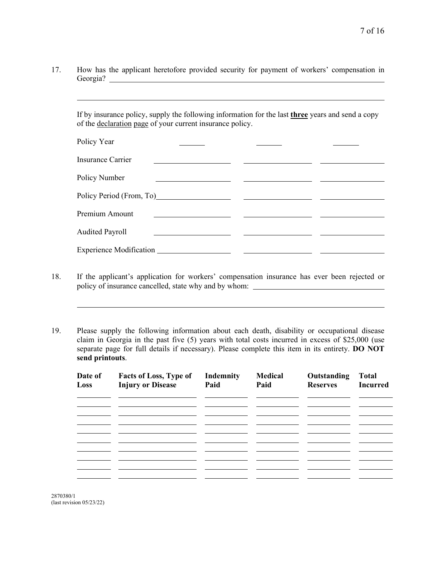17. How has the applicant heretofore provided security for payment of workers' compensation in Georgia?

If by insurance policy, supply the following information for the last **three** years and send a copy of the declaration page of your current insurance policy.

| Policy Year                                                                                                                                                                                                                    |  |
|--------------------------------------------------------------------------------------------------------------------------------------------------------------------------------------------------------------------------------|--|
| <b>Insurance Carrier</b>                                                                                                                                                                                                       |  |
| Policy Number                                                                                                                                                                                                                  |  |
| Policy Period (From, To) 2008. [2010] [2010] [2010] [2010] [2010] [2010] [2010] [2010] [2010] [2010] [2010] [2010] [2010] [2010] [2010] [2010] [2010] [2010] [2010] [2010] [2010] [2010] [2010] [2010] [2010] [2010] [2010] [2 |  |
| Premium Amount                                                                                                                                                                                                                 |  |
| <b>Audited Payroll</b>                                                                                                                                                                                                         |  |
|                                                                                                                                                                                                                                |  |

- 18. If the applicant's application for workers' compensation insurance has ever been rejected or policy of insurance cancelled, state why and by whom:
- 19. Please supply the following information about each death, disability or occupational disease claim in Georgia in the past five (5) years with total costs incurred in excess of \$25,000 (use separate page for full details if necessary). Please complete this item in its entirety. **DO NOT send printouts**.

| Date of<br>Loss | <b>Facts of Loss, Type of</b><br><b>Injury or Disease</b> | Indemnity<br>Paid | <b>Medical</b><br>Paid | Outstanding<br><b>Reserves</b> | <b>Total</b><br><b>Incurred</b> |
|-----------------|-----------------------------------------------------------|-------------------|------------------------|--------------------------------|---------------------------------|
|                 |                                                           |                   |                        |                                |                                 |
|                 |                                                           |                   |                        |                                |                                 |
|                 |                                                           |                   |                        |                                |                                 |
|                 |                                                           |                   |                        |                                |                                 |
|                 |                                                           |                   |                        |                                |                                 |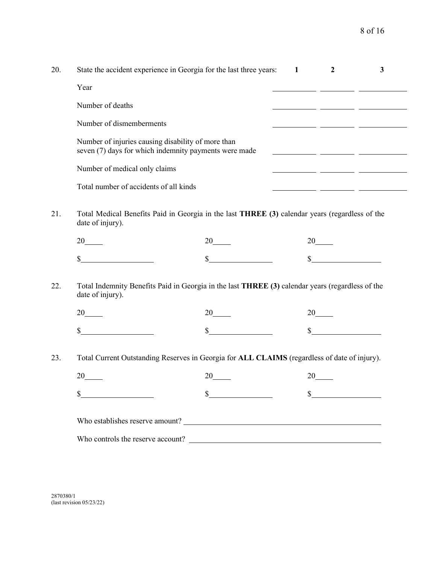| 20. | State the accident experience in Georgia for the last three years:                                                   | 1                     | $\boldsymbol{2}$<br>$\mathbf{3}$                                                                                       |
|-----|----------------------------------------------------------------------------------------------------------------------|-----------------------|------------------------------------------------------------------------------------------------------------------------|
|     | Year                                                                                                                 |                       |                                                                                                                        |
|     | Number of deaths                                                                                                     |                       |                                                                                                                        |
|     | Number of dismemberments                                                                                             |                       |                                                                                                                        |
|     | Number of injuries causing disability of more than<br>seven (7) days for which indemnity payments were made          |                       |                                                                                                                        |
|     | Number of medical only claims                                                                                        |                       | <u> 1989 - John Harry John Harry Harry Harry Harry Harry Harry Harry Harry Harry Harry Harry Harry Harry Harry Har</u> |
|     | Total number of accidents of all kinds                                                                               |                       |                                                                                                                        |
| 21. | Total Medical Benefits Paid in Georgia in the last THREE (3) calendar years (regardless of the<br>date of injury).   |                       |                                                                                                                        |
|     | 20                                                                                                                   | $20$ <sub>____</sub>  | 20                                                                                                                     |
|     | \$                                                                                                                   | $\mathbb{S}$          | $\mathbb{S}$                                                                                                           |
| 22. | Total Indemnity Benefits Paid in Georgia in the last THREE (3) calendar years (regardless of the<br>date of injury). |                       |                                                                                                                        |
|     | 20                                                                                                                   | 20                    | 20                                                                                                                     |
|     | \$                                                                                                                   |                       |                                                                                                                        |
| 23. | Total Current Outstanding Reserves in Georgia for ALL CLAIMS (regardless of date of injury).                         |                       |                                                                                                                        |
|     | 20                                                                                                                   | $20$ <sub>_____</sub> | $20$ <sub>——</sub>                                                                                                     |
|     | \$                                                                                                                   |                       |                                                                                                                        |
|     |                                                                                                                      |                       |                                                                                                                        |
|     |                                                                                                                      |                       |                                                                                                                        |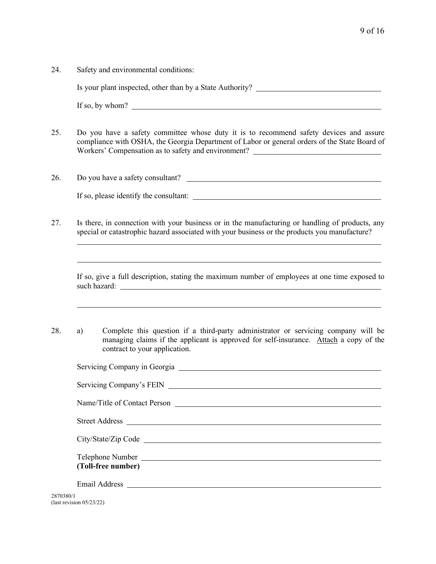24. Safety and environmental conditions:

Is your plant inspected, other than by a State Authority?

If so, by whom?

 $\overline{a}$ 

 $\overline{a}$ 

- 25. Do you have a safety committee whose duty it is to recommend safety devices and assure compliance with OSHA, the Georgia Department of Labor or general orders of the State Board of Workers' Compensation as to safety and environment?
- 26. Do you have a safety consultant? If so, please identify the consultant:
- 27. Is there, in connection with your business or in the manufacturing or handling of products, any special or catastrophic hazard associated with your business or the products you manufacture?

If so, give a full description, stating the maximum number of employees at one time exposed to such hazard:

<u> 1989 - Johann Stoff, amerikansk politiker (\* 1908)</u>

28. a) Complete this question if a third-party administrator or servicing company will be managing claims if the applicant is approved for self-insurance. Attach a copy of the contract to your application.

|                          | Name/Title of Contact Person |
|--------------------------|------------------------------|
|                          |                              |
|                          |                              |
|                          |                              |
|                          |                              |
|                          |                              |
|                          |                              |
|                          | (Toll-free number)           |
|                          |                              |
|                          |                              |
| 2870380/1                |                              |
| (last revision 05/23/22) |                              |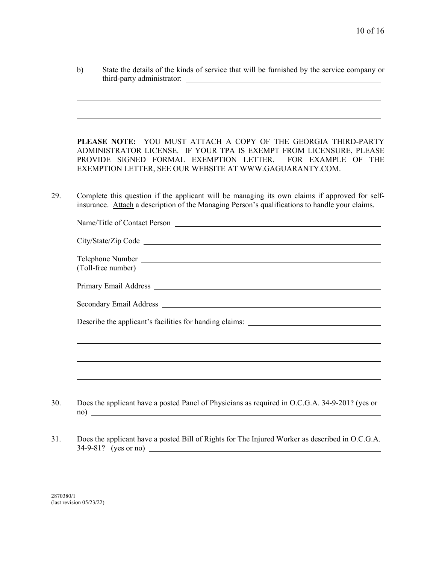| b) | State the details of the kinds of service that will be furnished by the service company or |
|----|--------------------------------------------------------------------------------------------|
|    | third-party administrator:                                                                 |

**PLEASE NOTE:** YOU MUST ATTACH A COPY OF THE GEORGIA THIRD-PARTY ADMINISTRATOR LICENSE. IF YOUR TPA IS EXEMPT FROM LICENSURE, PLEASE PROVIDE SIGNED FORMAL EXEMPTION LETTER. FOR EXAMPLE OF THE EXEMPTION LETTER, SEE OUR WEBSITE AT WWW.GAGUARANTY.COM.

29. Complete this question if the applicant will be managing its own claims if approved for selfinsurance. Attach a description of the Managing Person's qualifications to handle your claims.

|                    | City/State/Zip Code                                                                                                                                                                                                           |                                                                                   |
|--------------------|-------------------------------------------------------------------------------------------------------------------------------------------------------------------------------------------------------------------------------|-----------------------------------------------------------------------------------|
| (Toll-free number) | Telephone Number                                                                                                                                                                                                              |                                                                                   |
|                    | Primary Email Address Land and Services and Services and Services and Services and Services and Services and Services and Services and Services and Services and Services and Services and Services and Services and Services |                                                                                   |
|                    |                                                                                                                                                                                                                               |                                                                                   |
|                    |                                                                                                                                                                                                                               | Describe the applicant's facilities for handing claims: _________________________ |
|                    |                                                                                                                                                                                                                               |                                                                                   |
|                    |                                                                                                                                                                                                                               |                                                                                   |
|                    |                                                                                                                                                                                                                               |                                                                                   |

- 30. Does the applicant have a posted Panel of Physicians as required in O.C.G.A. 34-9-201? (yes or no)
- 31. Does the applicant have a posted Bill of Rights for The Injured Worker as described in O.C.G.A. 34-9-81? (yes or no)

2870380/1 (last revision 05/23/22)

 $\overline{a}$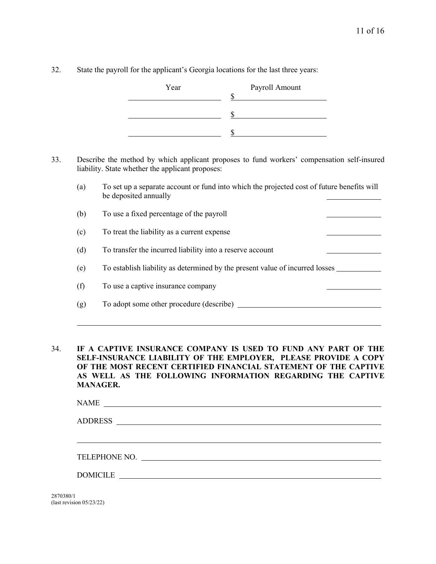32. State the payroll for the applicant's Georgia locations for the last three years:

| Payroll Amount |
|----------------|
|                |
|                |
|                |
|                |
|                |
|                |

- 33. Describe the method by which applicant proposes to fund workers' compensation self-insured liability. State whether the applicant proposes:
	- (a) To set up a separate account or fund into which the projected cost of future benefits will be deposited annually
	- (b) To use a fixed percentage of the payroll
	- (c) To treat the liability as a current expense
	- (d) To transfer the incurred liability into a reserve account
	- (e) To establish liability as determined by the present value of incurred losses
	- (f) To use a captive insurance company
	- (g) To adopt some other procedure (describe)
- 34. **IF A CAPTIVE INSURANCE COMPANY IS USED TO FUND ANY PART OF THE SELF-INSURANCE LIABILITY OF THE EMPLOYER, PLEASE PROVIDE A COPY OF THE MOST RECENT CERTIFIED FINANCIAL STATEMENT OF THE CAPTIVE AS WELL AS THE FOLLOWING INFORMATION REGARDING THE CAPTIVE MANAGER.**

| <b>NAME</b>    | <u> 1980 - Johann Stoff, fransk politik (d. 1980)</u> |  |  |
|----------------|-------------------------------------------------------|--|--|
| <b>ADDRESS</b> |                                                       |  |  |
|                |                                                       |  |  |
|                |                                                       |  |  |
| DOMICILE       |                                                       |  |  |
|                |                                                       |  |  |

2870380/1 (last revision 05/23/22)

l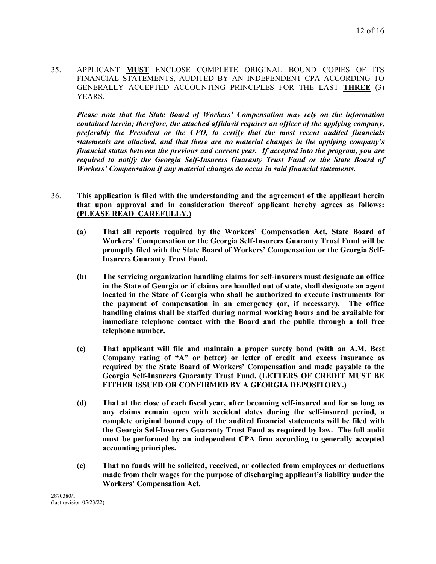35. APPLICANT **MUST** ENCLOSE COMPLETE ORIGINAL BOUND COPIES OF ITS FINANCIAL STATEMENTS, AUDITED BY AN INDEPENDENT CPA ACCORDING TO GENERALLY ACCEPTED ACCOUNTING PRINCIPLES FOR THE LAST **THREE** (3) YEARS.

*Please note that the State Board of Workers' Compensation may rely on the information contained herein; therefore, the attached affidavit requires an officer of the applying company, preferably the President or the CFO, to certify that the most recent audited financials statements are attached, and that there are no material changes in the applying company's financial status between the previous and current year. If accepted into the program, you are required to notify the Georgia Self-Insurers Guaranty Trust Fund or the State Board of Workers' Compensation if any material changes do occur in said financial statements.*

- 36. **This application is filed with the understanding and the agreement of the applicant herein that upon approval and in consideration thereof applicant hereby agrees as follows: (PLEASE READ CAREFULLY.)**
	- **(a) That all reports required by the Workers' Compensation Act, State Board of Workers' Compensation or the Georgia Self-Insurers Guaranty Trust Fund will be promptly filed with the State Board of Workers' Compensation or the Georgia Self-Insurers Guaranty Trust Fund.**
	- **(b) The servicing organization handling claims for self-insurers must designate an office in the State of Georgia or if claims are handled out of state, shall designate an agent located in the State of Georgia who shall be authorized to execute instruments for the payment of compensation in an emergency (or, if necessary). The office handling claims shall be staffed during normal working hours and be available for immediate telephone contact with the Board and the public through a toll free telephone number.**
	- **(c) That applicant will file and maintain a proper surety bond (with an A.M. Best Company rating of "A" or better) or letter of credit and excess insurance as required by the State Board of Workers' Compensation and made payable to the Georgia Self-Insurers Guaranty Trust Fund. (LETTERS OF CREDIT MUST BE EITHER ISSUED OR CONFIRMED BY A GEORGIA DEPOSITORY.)**
	- **(d) That at the close of each fiscal year, after becoming self-insured and for so long as any claims remain open with accident dates during the self-insured period, a complete original bound copy of the audited financial statements will be filed with the Georgia Self-Insurers Guaranty Trust Fund as required by law. The full audit must be performed by an independent CPA firm according to generally accepted accounting principles.**
	- **(e) That no funds will be solicited, received, or collected from employees or deductions made from their wages for the purpose of discharging applicant's liability under the Workers' Compensation Act.**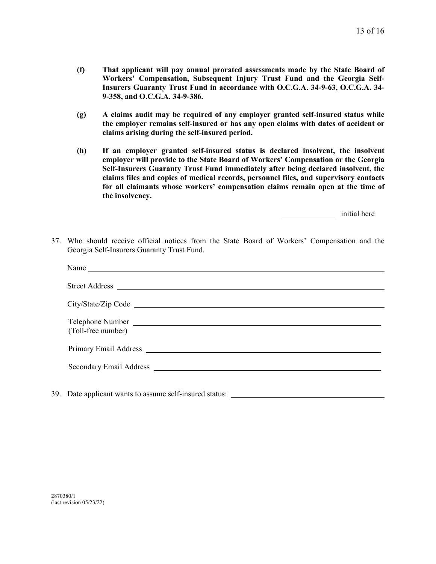- **(f) That applicant will pay annual prorated assessments made by the State Board of Workers' Compensation, Subsequent Injury Trust Fund and the Georgia Self-Insurers Guaranty Trust Fund in accordance with O.C.G.A. 34-9-63, O.C.G.A. 34- 9-358, and O.C.G.A. 34-9-386.**
- **(g) A claims audit may be required of any employer granted self-insured status while the employer remains self-insured or has any open claims with dates of accident or claims arising during the self-insured period.**
- **(h) If an employer granted self-insured status is declared insolvent, the insolvent employer will provide to the State Board of Workers' Compensation or the Georgia Self-Insurers Guaranty Trust Fund immediately after being declared insolvent, the claims files and copies of medical records, personnel files, and supervisory contacts for all claimants whose workers' compensation claims remain open at the time of the insolvency.**

initial here

37. Who should receive official notices from the State Board of Workers' Compensation and the Georgia Self-Insurers Guaranty Trust Fund.

| Name                                                    |
|---------------------------------------------------------|
|                                                         |
|                                                         |
| Telephone Number                                        |
| (Toll-free number)                                      |
|                                                         |
|                                                         |
|                                                         |
| 39. Date applicant wants to assume self-insured status: |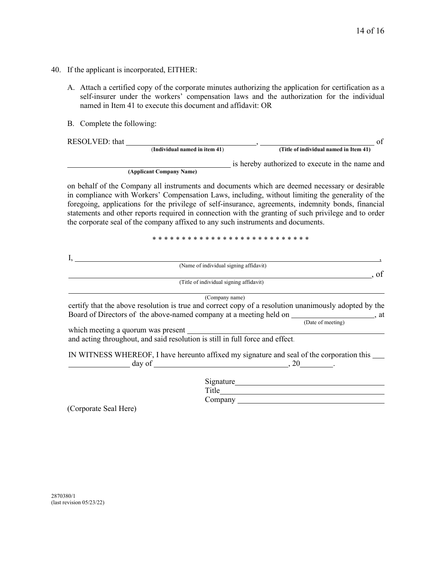- 40. If the applicant is incorporated, EITHER:
	- A. Attach a certified copy of the corporate minutes authorizing the application for certification as a self-insurer under the workers' compensation laws and the authorization for the individual named in Item 41 to execute this document and affidavit: OR
	- B. Complete the following:

RESOLVED: that (Individual named in item 41) **Fig. 2** (Title of individual named in Item 41) of

is hereby authorized to execute in the name and

**(Applicant Company Name)** 

on behalf of the Company all instruments and documents which are deemed necessary or desirable in compliance with Workers' Compensation Laws, including, without limiting the generality of the foregoing, applications for the privilege of self-insurance, agreements, indemnity bonds, financial statements and other reports required in connection with the granting of such privilege and to order the corporate seal of the company affixed to any such instruments and documents.

\* \* \* \* \* \* \* \* \* \* \* \* \* \* \* \* \* \* \* \* \* \* \* \* \* \* \*

| (Name of individual signing affidavit)                                                                |
|-------------------------------------------------------------------------------------------------------|
| . of                                                                                                  |
| (Title of individual signing affidavit)                                                               |
| (Company name)                                                                                        |
| certify that the above resolution is true and correct copy of a resolution unanimously adopted by the |
| Board of Directors of the above-named company at a meeting held on _____________________, at          |
| (Date of meeting)                                                                                     |
| which meeting a quorum was present                                                                    |
| and acting throughout, and said resolution is still in full force and effect.                         |
| IN WITNESS WHEREOF, I have hereunto affixed my signature and seal of the corporation this __________  |
|                                                                                                       |
|                                                                                                       |
| Signature                                                                                             |
|                                                                                                       |
| Company                                                                                               |

(Corporate Seal Here)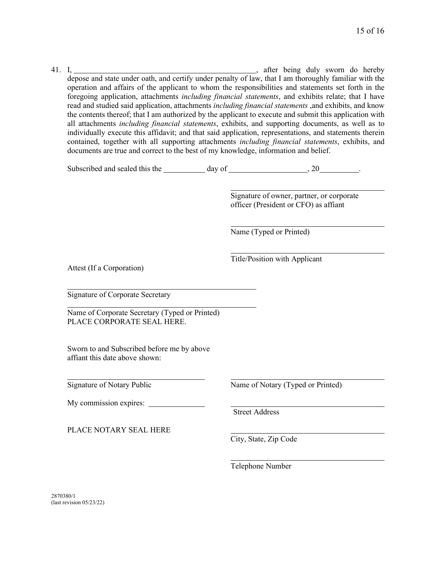41. I, , after being duly sworn do hereby depose and state under oath, and certify under penalty of law, that I am thoroughly familiar with the operation and affairs of the applicant to whom the responsibilities and statements set forth in the foregoing application, attachments *including financial statements*, and exhibits relate; that I have read and studied said application, attachments *including financial statements* ,and exhibits, and know the contents thereof; that I am authorized by the applicant to execute and submit this application with all attachments *including financial statements*, exhibits, and supporting documents, as well as to individually execute this affidavit; and that said application, representations, and statements therein contained, together with all supporting attachments *including financial statements*, exhibits, and documents are true and correct to the best of my knowledge, information and belief.

Subscribed and sealed this the  $\frac{1}{2}$  day of  $\frac{1}{2}$ , 20  $\frac{1}{2}$ .

 Signature of owner, partner, or corporate officer (President or CFO) as affiant

Name (Typed or Printed)

Title/Position with Applicant

Attest (If a Corporation)

 $\overline{a}$ 

Signature of Corporate Secretary

Name of Corporate Secretary (Typed or Printed) PLACE CORPORATE SEAL HERE.

Sworn to and Subscribed before me by above affiant this date above shown:

My commission expires: \_\_\_\_\_\_\_

PLACE NOTARY SEAL HERE

Signature of Notary Public Name of Notary (Typed or Printed)

Street Address

City, State, Zip Code

Telephone Number

 $\overline{a}$